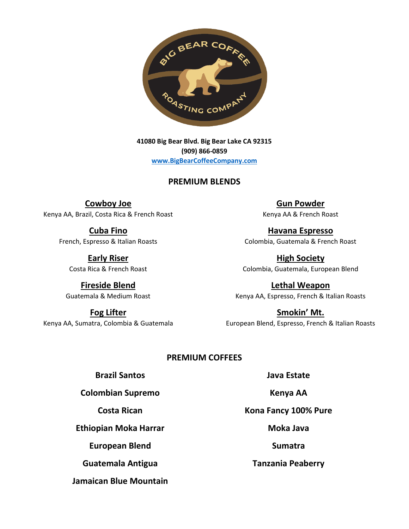

**41080 Big Bear Blvd. Big Bear Lake CA 92315 (909) 866-0859 [www.BigBearCoffeeCompany.com](http://www.bigbearcoffeecompany.com/)**

#### **PREMIUM BLENDS**

**Cowboy Joe** Kenya AA, Brazil, Costa Rica & French Roast

> **Cuba Fino** French, Espresso & Italian Roasts

**Early Riser** Costa Rica & French Roast

**Fireside Blend** Guatemala & Medium Roast

**Fog Lifter** Kenya AA, Sumatra, Colombia & Guatemala

**Gun Powder** Kenya AA & French Roast

**Havana Espresso** Colombia, Guatemala & French Roast

**High Society** Colombia, Guatemala, European Blend

**Lethal Weapon** Kenya AA, Espresso, French & Italian Roasts

**Smokin' Mt.** European Blend, Espresso, French & Italian Roasts

#### **PREMIUM COFFEES**

#### **Brazil Santos**

**Colombian Supremo**

**Costa Rican**

**Ethiopian Moka Harrar**

**European Blend**

**Guatemala Antigua**

**Jamaican Blue Mountain**

**Java Estate**

**Kenya AA**

**Kona Fancy 100% Pure**

**Moka Java**

**Sumatra**

**Tanzania Peaberry**